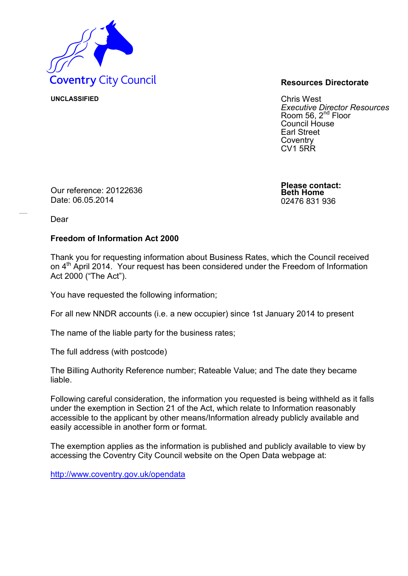

**UNCLASSIFIED** Chris West *Executive Director Resources* Room 56, 2<sup>nd</sup> Floor Council House Earl Street **Coventry** CV1 5RR

Our reference: 20122636 Date: 06.05.2014

**Please contact: Beth Home** 02476 831 936

Dear

## **Freedom of Information Act 2000**

Thank you for requesting information about Business Rates, which the Council received on 4<sup>th</sup> April 2014. Your request has been considered under the Freedom of Information Act 2000 ("The Act").

You have requested the following information;

For all new NNDR accounts (i.e. a new occupier) since 1st January 2014 to present

The name of the liable party for the business rates;

The full address (with postcode)

The Billing Authority Reference number; Rateable Value; and The date they became liable.

Following careful consideration, the information you requested is being withheld as it falls under the exemption in Section 21 of the Act, which relate to Information reasonably accessible to the applicant by other means/Information already publicly available and easily accessible in another form or format.

The exemption applies as the information is published and publicly available to view by accessing the Coventry City Council website on the Open Data webpage at:

<http://www.coventry.gov.uk/opendata>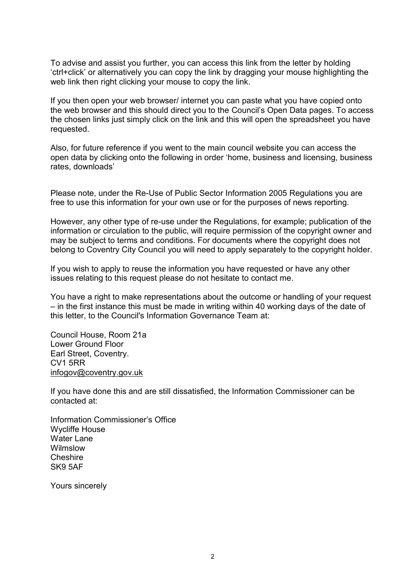To advise and assist you further, you can access this link from the letter by holding 'ctrl+click' or alternatively you can copy the link by dragging your mouse highlighting the web link then right clicking your mouse to copy the link.

If you then open your web browser/ internet you can paste what you have copied onto the web browser and this should direct you to the Council's Open Data pages. To access the chosen links just simply click on the link and this will open the spreadsheet you have requested.

Also, for future reference if you went to the main council website you can access the open data by clicking onto the following in order 'home, business and licensing, business rates, downloads'

Please note, under the Re-Use of Public Sector Information 2005 Regulations you are free to use this information for your own use or for the purposes of news reporting.

However, any other type of re-use under the Regulations, for example; publication of the information or circulation to the public, will require permission of the copyright owner and may be subject to terms and conditions. For documents where the copyright does not belong to Coventry City Council you will need to apply separately to the copyright holder.

If you wish to apply to reuse the information you have requested or have any other issues relating to this request please do not hesitate to contact me.

You have a right to make representations about the outcome or handling of your request – in the first instance this must be made in writing within 40 working days of the date of this letter, to the Council's Information Governance Team at:

Council House, Room 21a Lower Ground Floor Earl Street, Coventry. CV1 5RR [infogov@coventry.gov.uk](mailto:infogov@coventry.gov.uk)

If you have done this and are still dissatisfied, the Information Commissioner can be contacted at:

Information Commissioner's Office Wycliffe House Water Lane Wilmslow Cheshire SK9 5AF

Yours sincerely